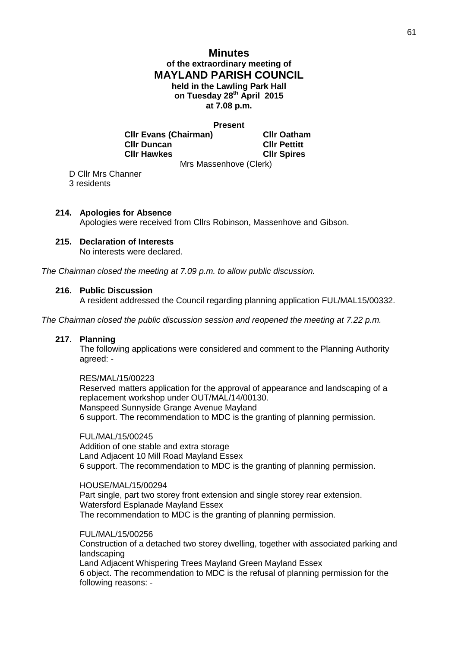# **Minutes of the extraordinary meeting of MAYLAND PARISH COUNCIL held in the Lawling Park Hall on Tuesday 28th April 2015 at 7.08 p.m.**

#### **Present**

**Cllr Evans (Chairman) Cllr Oatham Cllr Duncan Cllr Pettitt Cllr Hawkes Cllr Spires**

Mrs Massenhove (Clerk)

D Cllr Mrs Channer 3 residents

# **214. Apologies for Absence**

Apologies were received from Cllrs Robinson, Massenhove and Gibson.

# **215. Declaration of Interests**

No interests were declared.

*The Chairman closed the meeting at 7.09 p.m. to allow public discussion.*

## **216. Public Discussion**

A resident addressed the Council regarding planning application FUL/MAL15/00332.

*The Chairman closed the public discussion session and reopened the meeting at 7.22 p.m.* 

### **217. Planning**

The following applications were considered and comment to the Planning Authority agreed: -

RES/MAL/15/00223 Reserved matters application for the approval of appearance and landscaping of a replacement workshop under OUT/MAL/14/00130. Manspeed Sunnyside Grange Avenue Mayland 6 support. The recommendation to MDC is the granting of planning permission.

FUL/MAL/15/00245 Addition of one stable and extra storage Land Adjacent 10 Mill Road Mayland Essex 6 support. The recommendation to MDC is the granting of planning permission.

HOUSE/MAL/15/00294 Part single, part two storey front extension and single storey rear extension. Watersford Esplanade Mayland Essex The recommendation to MDC is the granting of planning permission.

FUL/MAL/15/00256 Construction of a detached two storey dwelling, together with associated parking and landscaping Land Adjacent Whispering Trees Mayland Green Mayland Essex 6 object. The recommendation to MDC is the refusal of planning permission for the following reasons: -